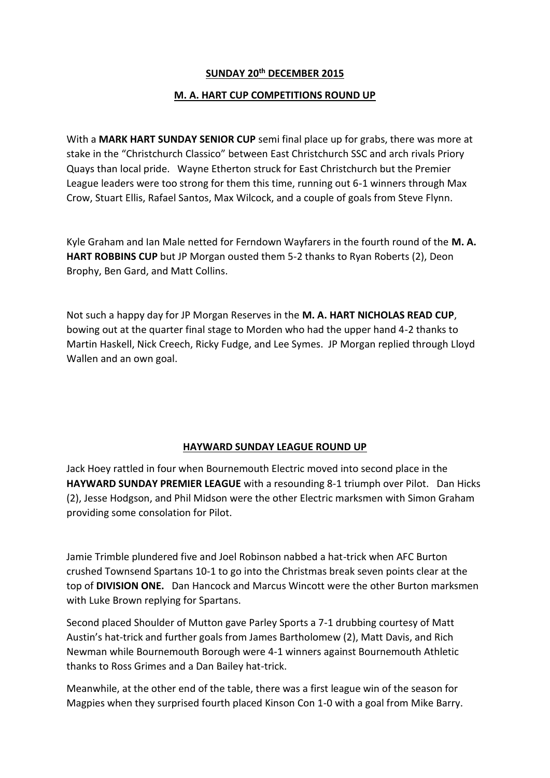## **SUNDAY 20th DECEMBER 2015**

## **M. A. HART CUP COMPETITIONS ROUND UP**

With a **MARK HART SUNDAY SENIOR CUP** semi final place up for grabs, there was more at stake in the "Christchurch Classico" between East Christchurch SSC and arch rivals Priory Quays than local pride. Wayne Etherton struck for East Christchurch but the Premier League leaders were too strong for them this time, running out 6-1 winners through Max Crow, Stuart Ellis, Rafael Santos, Max Wilcock, and a couple of goals from Steve Flynn.

Kyle Graham and Ian Male netted for Ferndown Wayfarers in the fourth round of the **M. A. HART ROBBINS CUP** but JP Morgan ousted them 5-2 thanks to Ryan Roberts (2), Deon Brophy, Ben Gard, and Matt Collins.

Not such a happy day for JP Morgan Reserves in the **M. A. HART NICHOLAS READ CUP**, bowing out at the quarter final stage to Morden who had the upper hand 4-2 thanks to Martin Haskell, Nick Creech, Ricky Fudge, and Lee Symes. JP Morgan replied through Lloyd Wallen and an own goal.

## **HAYWARD SUNDAY LEAGUE ROUND UP**

Jack Hoey rattled in four when Bournemouth Electric moved into second place in the **HAYWARD SUNDAY PREMIER LEAGUE** with a resounding 8-1 triumph over Pilot. Dan Hicks (2), Jesse Hodgson, and Phil Midson were the other Electric marksmen with Simon Graham providing some consolation for Pilot.

Jamie Trimble plundered five and Joel Robinson nabbed a hat-trick when AFC Burton crushed Townsend Spartans 10-1 to go into the Christmas break seven points clear at the top of **DIVISION ONE.** Dan Hancock and Marcus Wincott were the other Burton marksmen with Luke Brown replying for Spartans.

Second placed Shoulder of Mutton gave Parley Sports a 7-1 drubbing courtesy of Matt Austin's hat-trick and further goals from James Bartholomew (2), Matt Davis, and Rich Newman while Bournemouth Borough were 4-1 winners against Bournemouth Athletic thanks to Ross Grimes and a Dan Bailey hat-trick.

Meanwhile, at the other end of the table, there was a first league win of the season for Magpies when they surprised fourth placed Kinson Con 1-0 with a goal from Mike Barry.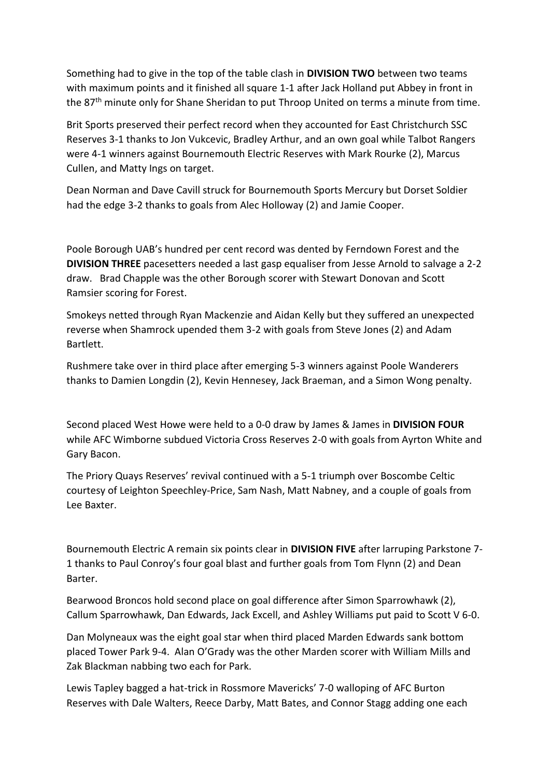Something had to give in the top of the table clash in **DIVISION TWO** between two teams with maximum points and it finished all square 1-1 after Jack Holland put Abbey in front in the 87<sup>th</sup> minute only for Shane Sheridan to put Throop United on terms a minute from time.

Brit Sports preserved their perfect record when they accounted for East Christchurch SSC Reserves 3-1 thanks to Jon Vukcevic, Bradley Arthur, and an own goal while Talbot Rangers were 4-1 winners against Bournemouth Electric Reserves with Mark Rourke (2), Marcus Cullen, and Matty Ings on target.

Dean Norman and Dave Cavill struck for Bournemouth Sports Mercury but Dorset Soldier had the edge 3-2 thanks to goals from Alec Holloway (2) and Jamie Cooper.

Poole Borough UAB's hundred per cent record was dented by Ferndown Forest and the **DIVISION THREE** pacesetters needed a last gasp equaliser from Jesse Arnold to salvage a 2-2 draw. Brad Chapple was the other Borough scorer with Stewart Donovan and Scott Ramsier scoring for Forest.

Smokeys netted through Ryan Mackenzie and Aidan Kelly but they suffered an unexpected reverse when Shamrock upended them 3-2 with goals from Steve Jones (2) and Adam Bartlett.

Rushmere take over in third place after emerging 5-3 winners against Poole Wanderers thanks to Damien Longdin (2), Kevin Hennesey, Jack Braeman, and a Simon Wong penalty.

Second placed West Howe were held to a 0-0 draw by James & James in **DIVISION FOUR** while AFC Wimborne subdued Victoria Cross Reserves 2-0 with goals from Ayrton White and Gary Bacon.

The Priory Quays Reserves' revival continued with a 5-1 triumph over Boscombe Celtic courtesy of Leighton Speechley-Price, Sam Nash, Matt Nabney, and a couple of goals from Lee Baxter.

Bournemouth Electric A remain six points clear in **DIVISION FIVE** after larruping Parkstone 7- 1 thanks to Paul Conroy's four goal blast and further goals from Tom Flynn (2) and Dean Barter.

Bearwood Broncos hold second place on goal difference after Simon Sparrowhawk (2), Callum Sparrowhawk, Dan Edwards, Jack Excell, and Ashley Williams put paid to Scott V 6-0.

Dan Molyneaux was the eight goal star when third placed Marden Edwards sank bottom placed Tower Park 9-4. Alan O'Grady was the other Marden scorer with William Mills and Zak Blackman nabbing two each for Park.

Lewis Tapley bagged a hat-trick in Rossmore Mavericks' 7-0 walloping of AFC Burton Reserves with Dale Walters, Reece Darby, Matt Bates, and Connor Stagg adding one each